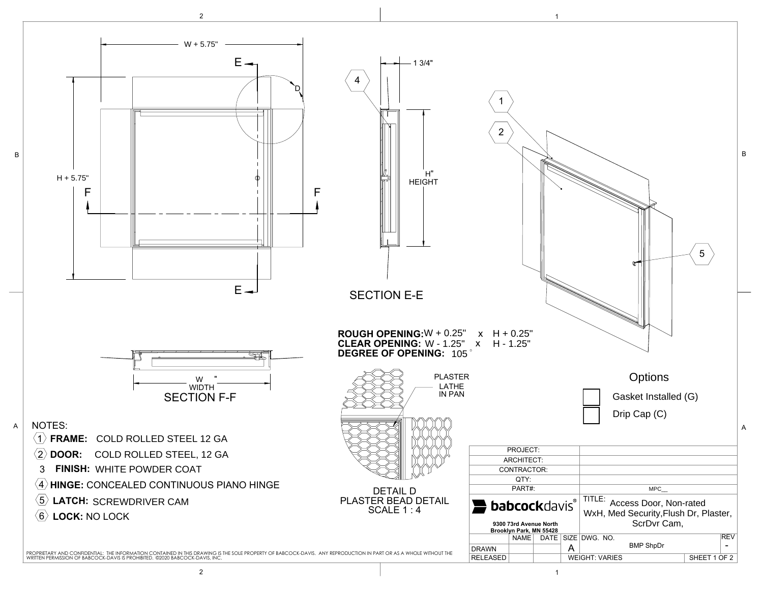

2 to the contract of  $\vert$  is the contract of  $\vert$  is the contract of  $\vert$  is the contract of  $\vert$  is the contract of  $\vert$  is the contract of  $\vert$  is the contract of  $\vert$  is the contract of  $\vert$  is the contract of  $\vert$  is